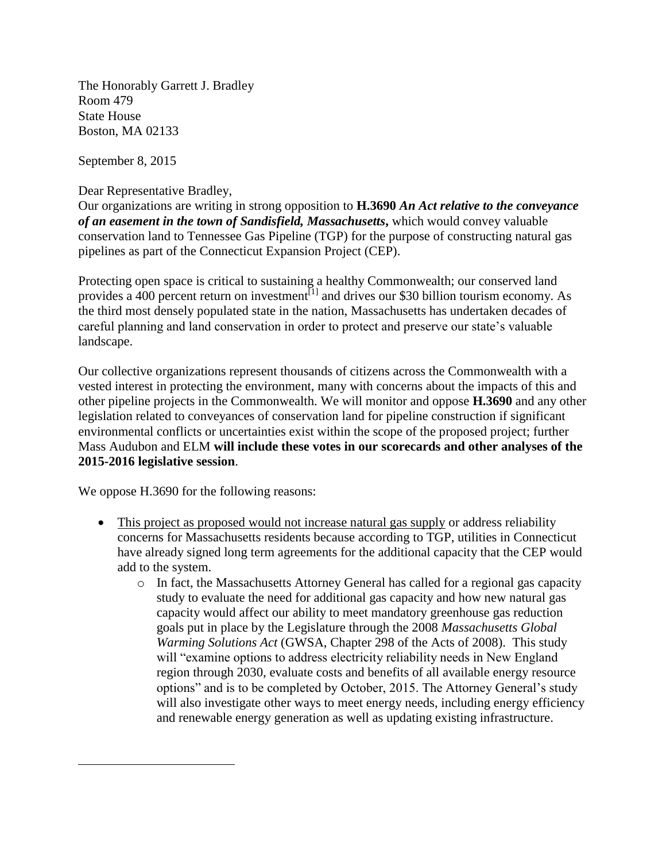The Honorably Garrett J. Bradley Room 479 State House Boston, MA 02133

September 8, 2015

 $\overline{\phantom{a}}$ 

Dear Representative Bradley,

Our organizations are writing in strong opposition to **H.3690** *An Act relative to the conveyance of an easement in the town of Sandisfield, Massachusetts***,** which would convey valuable conservation land to Tennessee Gas Pipeline (TGP) for the purpose of constructing natural gas pipelines as part of the Connecticut Expansion Project (CEP).

Protecting open space is critical to sustaining a healthy Commonwealth; our conserved land provides a 400 percent return on investment<sup>[1]</sup> and drives our \$30 billion tourism economy. As the third most densely populated state in the nation, Massachusetts has undertaken decades of careful planning and land conservation in order to protect and preserve our state's valuable landscape.

Our collective organizations represent thousands of citizens across the Commonwealth with a vested interest in protecting the environment, many with concerns about the impacts of this and other pipeline projects in the Commonwealth. We will monitor and oppose **H.3690** and any other legislation related to conveyances of conservation land for pipeline construction if significant environmental conflicts or uncertainties exist within the scope of the proposed project; further Mass Audubon and ELM **will include these votes in our scorecards and other analyses of the 2015-2016 legislative session**.

We oppose H.3690 for the following reasons:

- This project as proposed would not increase natural gas supply or address reliability concerns for Massachusetts residents because according to TGP, utilities in Connecticut have already signed long term agreements for the additional capacity that the CEP would add to the system.
	- o In fact, the Massachusetts Attorney General has called for a regional gas capacity study to evaluate the need for additional gas capacity and how new natural gas capacity would affect our ability to meet mandatory greenhouse gas reduction goals put in place by the Legislature through the 2008 *Massachusetts Global Warming Solutions Act* (GWSA, Chapter 298 of the Acts of 2008). This study will "examine options to address electricity reliability needs in New England region through 2030, evaluate costs and benefits of all available energy resource options" and is to be completed by October, 2015. The Attorney General's study will also investigate other ways to meet energy needs, including energy efficiency and renewable energy generation as well as updating existing infrastructure.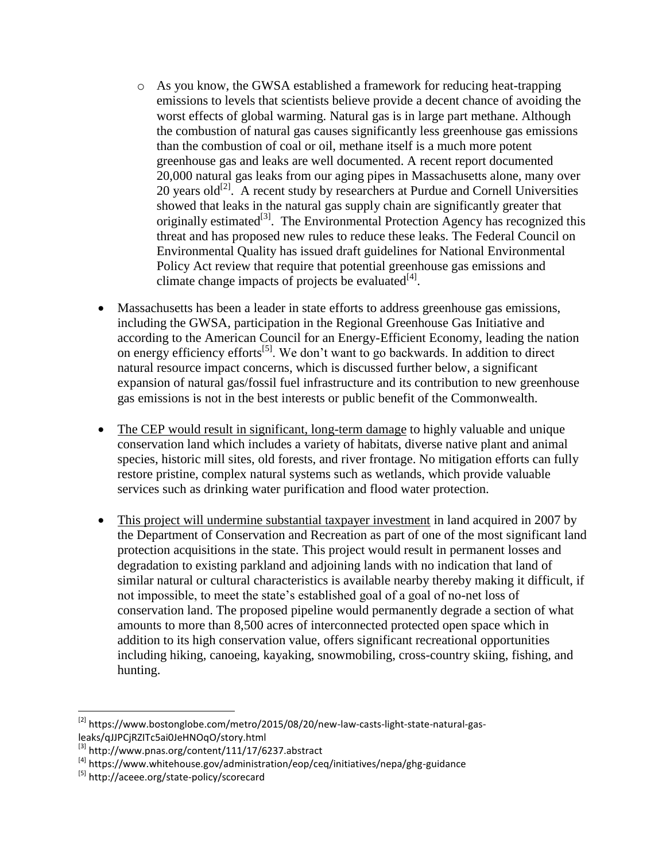- o As you know, the GWSA established a framework for reducing heat-trapping emissions to levels that scientists believe provide a decent chance of avoiding the worst effects of global warming. Natural gas is in large part methane. Although the combustion of natural gas causes significantly less greenhouse gas emissions than the combustion of coal or oil, methane itself is a much more potent greenhouse gas and leaks are well documented. A recent report documented 20,000 natural gas leaks from our aging pipes in Massachusetts alone, many over  $20$  years old<sup>[2]</sup>. A recent study by researchers at Purdue and Cornell Universities showed that leaks in the natural gas supply chain are significantly greater that originally estimated<sup>[3]</sup>. The Environmental Protection Agency has recognized this threat and has proposed new rules to reduce these leaks. The Federal Council on Environmental Quality has issued draft guidelines for National Environmental Policy Act review that require that potential greenhouse gas emissions and climate change impacts of projects be evaluated $^{[4]}$ .
- Massachusetts has been a leader in state efforts to address greenhouse gas emissions, including the GWSA, participation in the Regional Greenhouse Gas Initiative and according to the American Council for an Energy-Efficient Economy, leading the nation on energy efficiency efforts[5]. We don't want to go backwards. In addition to direct natural resource impact concerns, which is discussed further below, a significant expansion of natural gas/fossil fuel infrastructure and its contribution to new greenhouse gas emissions is not in the best interests or public benefit of the Commonwealth.
- The CEP would result in significant, long-term damage to highly valuable and unique conservation land which includes a variety of habitats, diverse native plant and animal species, historic mill sites, old forests, and river frontage. No mitigation efforts can fully restore pristine, complex natural systems such as wetlands, which provide valuable services such as drinking water purification and flood water protection.
- This project will undermine substantial taxpayer investment in land acquired in 2007 by the Department of Conservation and Recreation as part of one of the most significant land protection acquisitions in the state. This project would result in permanent losses and degradation to existing parkland and adjoining lands with no indication that land of similar natural or cultural characteristics is available nearby thereby making it difficult, if not impossible, to meet the state's established goal of a goal of no-net loss of conservation land. The proposed pipeline would permanently degrade a section of what amounts to more than 8,500 acres of interconnected protected open space which in addition to its high conservation value, offers significant recreational opportunities including hiking, canoeing, kayaking, snowmobiling, cross-country skiing, fishing, and hunting.

l

 $^{[2]}$  https://www.bostonglobe.com/metro/2015/08/20/new-law-casts-light-state-natural-gasleaks/qJJPCjRZITc5ai0JeHNOqO/story.html

<sup>[3]</sup> http://www.pnas.org/content/111/17/6237.abstract

 $[4]$  https://www.whitehouse.gov/administration/eop/ceq/initiatives/nepa/ghg-guidance

<sup>[5]</sup> http://aceee.org/state-policy/scorecard